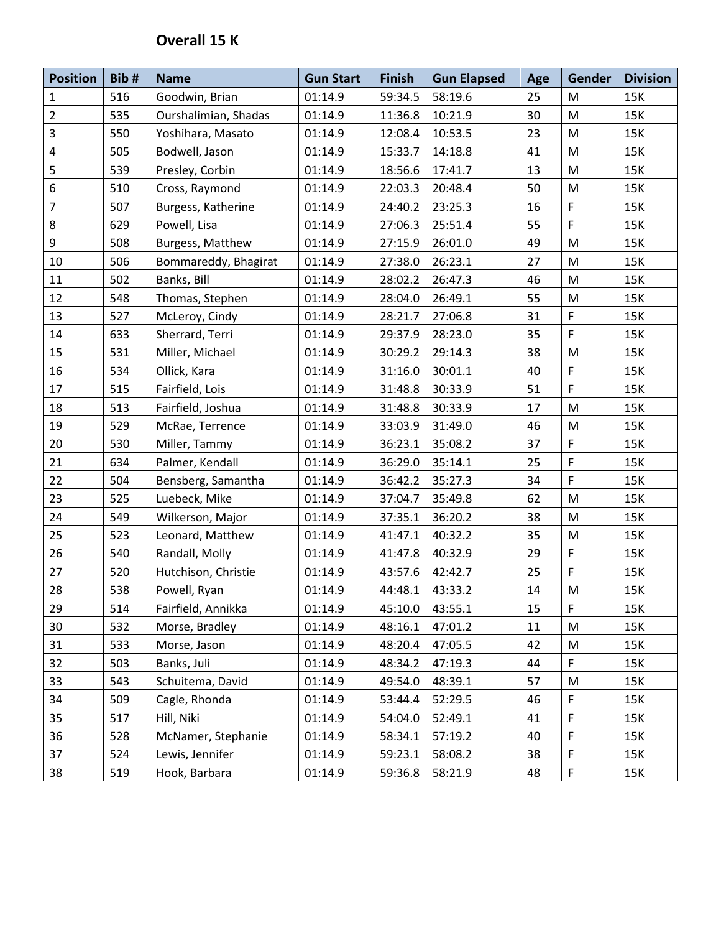## **Overall 15 K**

| <b>Position</b>  | Bib# | <b>Name</b>          | <b>Gun Start</b> | <b>Finish</b> | <b>Gun Elapsed</b> | Age | <b>Gender</b>                                                                                              | <b>Division</b> |
|------------------|------|----------------------|------------------|---------------|--------------------|-----|------------------------------------------------------------------------------------------------------------|-----------------|
| $\mathbf 1$      | 516  | Goodwin, Brian       | 01:14.9          | 59:34.5       | 58:19.6            | 25  | M                                                                                                          | 15K             |
| $\overline{2}$   | 535  | Ourshalimian, Shadas | 01:14.9          | 11:36.8       | 10:21.9            | 30  | M                                                                                                          | 15K             |
| 3                | 550  | Yoshihara, Masato    | 01:14.9          | 12:08.4       | 10:53.5            | 23  | M                                                                                                          | 15K             |
| $\pmb{4}$        | 505  | Bodwell, Jason       | 01:14.9          | 15:33.7       | 14:18.8            | 41  | M                                                                                                          | 15K             |
| 5                | 539  | Presley, Corbin      | 01:14.9          | 18:56.6       | 17:41.7            | 13  | M                                                                                                          | 15K             |
| $\boldsymbol{6}$ | 510  | Cross, Raymond       | 01:14.9          | 22:03.3       | 20:48.4            | 50  | M                                                                                                          | 15K             |
| $\overline{7}$   | 507  | Burgess, Katherine   | 01:14.9          | 24:40.2       | 23:25.3            | 16  | F                                                                                                          | 15K             |
| 8                | 629  | Powell, Lisa         | 01:14.9          | 27:06.3       | 25:51.4            | 55  | F                                                                                                          | 15K             |
| 9                | 508  | Burgess, Matthew     | 01:14.9          | 27:15.9       | 26:01.0            | 49  | M                                                                                                          | 15K             |
| 10               | 506  | Bommareddy, Bhagirat | 01:14.9          | 27:38.0       | 26:23.1            | 27  | M                                                                                                          | 15K             |
| 11               | 502  | Banks, Bill          | 01:14.9          | 28:02.2       | 26:47.3            | 46  | M                                                                                                          | 15K             |
| 12               | 548  | Thomas, Stephen      | 01:14.9          | 28:04.0       | 26:49.1            | 55  | $\mathsf{M}% _{T}=\mathsf{M}_{T}\!\left( a,b\right) ,\ \mathsf{M}_{T}=\mathsf{M}_{T}\!\left( a,b\right) ,$ | 15K             |
| 13               | 527  | McLeroy, Cindy       | 01:14.9          | 28:21.7       | 27:06.8            | 31  | F                                                                                                          | 15K             |
| 14               | 633  | Sherrard, Terri      | 01:14.9          | 29:37.9       | 28:23.0            | 35  | F.                                                                                                         | 15K             |
| 15               | 531  | Miller, Michael      | 01:14.9          | 30:29.2       | 29:14.3            | 38  | M                                                                                                          | 15K             |
| 16               | 534  | Ollick, Kara         | 01:14.9          | 31:16.0       | 30:01.1            | 40  | F                                                                                                          | 15K             |
| 17               | 515  | Fairfield, Lois      | 01:14.9          | 31:48.8       | 30:33.9            | 51  | F                                                                                                          | 15K             |
| 18               | 513  | Fairfield, Joshua    | 01:14.9          | 31:48.8       | 30:33.9            | 17  | M                                                                                                          | 15K             |
| 19               | 529  | McRae, Terrence      | 01:14.9          | 33:03.9       | 31:49.0            | 46  | ${\sf M}$                                                                                                  | 15K             |
| 20               | 530  | Miller, Tammy        | 01:14.9          | 36:23.1       | 35:08.2            | 37  | F                                                                                                          | 15K             |
| 21               | 634  | Palmer, Kendall      | 01:14.9          | 36:29.0       | 35:14.1            | 25  | F                                                                                                          | 15K             |
| 22               | 504  | Bensberg, Samantha   | 01:14.9          | 36:42.2       | 35:27.3            | 34  | F                                                                                                          | 15K             |
| 23               | 525  | Luebeck, Mike        | 01:14.9          | 37:04.7       | 35:49.8            | 62  | M                                                                                                          | 15K             |
| 24               | 549  | Wilkerson, Major     | 01:14.9          | 37:35.1       | 36:20.2            | 38  | M                                                                                                          | 15K             |
| 25               | 523  | Leonard, Matthew     | 01:14.9          | 41:47.1       | 40:32.2            | 35  | M                                                                                                          | 15K             |
| 26               | 540  | Randall, Molly       | 01:14.9          | 41:47.8       | 40:32.9            | 29  | F                                                                                                          | 15K             |
| 27               | 520  | Hutchison, Christie  | 01:14.9          | 43:57.6       | 42:42.7            | 25  | F                                                                                                          | 15K             |
| 28               | 538  | Powell, Ryan         | 01:14.9          | 44:48.1       | 43:33.2            | 14  | M                                                                                                          | 15K             |
| 29               | 514  | Fairfield, Annikka   | 01:14.9          | 45:10.0       | 43:55.1            | 15  | F.                                                                                                         | 15K             |
| 30               | 532  | Morse, Bradley       | 01:14.9          | 48:16.1       | 47:01.2            | 11  | M                                                                                                          | 15K             |
| 31               | 533  | Morse, Jason         | 01:14.9          | 48:20.4       | 47:05.5            | 42  | M                                                                                                          | 15K             |
| 32               | 503  | Banks, Juli          | 01:14.9          | 48:34.2       | 47:19.3            | 44  | F                                                                                                          | 15K             |
| 33               | 543  | Schuitema, David     | 01:14.9          | 49:54.0       | 48:39.1            | 57  | M                                                                                                          | 15K             |
| 34               | 509  | Cagle, Rhonda        | 01:14.9          | 53:44.4       | 52:29.5            | 46  | F                                                                                                          | 15K             |
| 35               | 517  | Hill, Niki           | 01:14.9          | 54:04.0       | 52:49.1            | 41  | F                                                                                                          | 15K             |
| 36               | 528  | McNamer, Stephanie   | 01:14.9          | 58:34.1       | 57:19.2            | 40  | F                                                                                                          | 15K             |
| 37               | 524  | Lewis, Jennifer      | 01:14.9          | 59:23.1       | 58:08.2            | 38  | F                                                                                                          | 15K             |
| 38               | 519  | Hook, Barbara        | 01:14.9          | 59:36.8       | 58:21.9            | 48  | F                                                                                                          | 15K             |